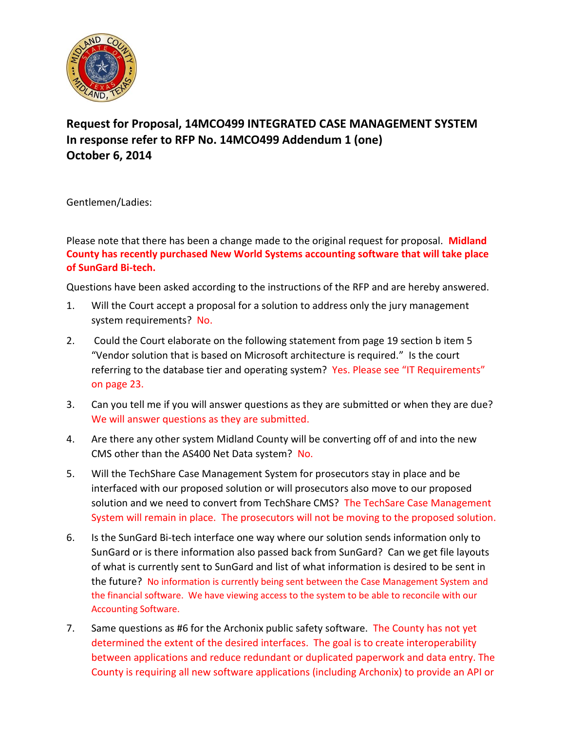

## **Request for Proposal, 14MCO499 INTEGRATED CASE MANAGEMENT SYSTEM In response refer to RFP No. 14MCO499 Addendum 1 (one) October 6, 2014**

Gentlemen/Ladies:

Please note that there has been a change made to the original request for proposal. **Midland County has recently purchased New World Systems accounting software that will take place of SunGard Bi-tech.**

Questions have been asked according to the instructions of the RFP and are hereby answered.

- 1. Will the Court accept a proposal for a solution to address only the jury management system requirements? No.
- 2. Could the Court elaborate on the following statement from page 19 section b item 5 "Vendor solution that is based on Microsoft architecture is required." Is the court referring to the database tier and operating system? Yes. Please see "IT Requirements" on page 23.
- 3. Can you tell me if you will answer questions as they are submitted or when they are due? We will answer questions as they are submitted.
- 4. Are there any other system Midland County will be converting off of and into the new CMS other than the AS400 Net Data system? No.
- 5. Will the TechShare Case Management System for prosecutors stay in place and be interfaced with our proposed solution or will prosecutors also move to our proposed solution and we need to convert from TechShare CMS? The TechSare Case Management System will remain in place. The prosecutors will not be moving to the proposed solution.
- 6. Is the SunGard Bi-tech interface one way where our solution sends information only to SunGard or is there information also passed back from SunGard? Can we get file layouts of what is currently sent to SunGard and list of what information is desired to be sent in the future? No information is currently being sent between the Case Management System and the financial software. We have viewing access to the system to be able to reconcile with our Accounting Software.
- 7. Same questions as #6 for the Archonix public safety software. The County has not yet determined the extent of the desired interfaces. The goal is to create interoperability between applications and reduce redundant or duplicated paperwork and data entry. The County is requiring all new software applications (including Archonix) to provide an API or